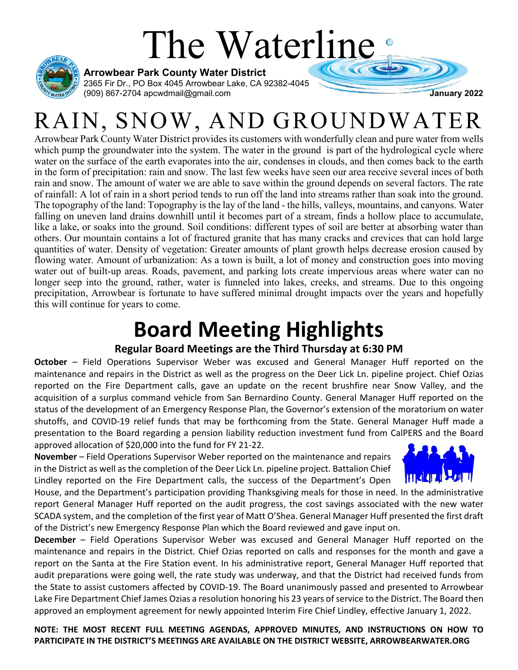# The Waterline



**Arrowbear Park County Water District**

2365 Fir Dr., PO Box 4045 Arrowbear Lake, CA 92382-4045 (909) 867-2704 apcwdmail@gmail.com **January 2022**

## RAIN, SNOW, AND GROUNDWATER

Arrowbear Park County Water District provides its customers with wonderfully clean and pure water from wells which pump the groundwater into the system. The water in the ground is part of the hydrological cycle where water on the surface of the earth evaporates into the air, condenses in clouds, and then comes back to the earth in the form of precipitation: rain and snow. The last few weeks have seen our area receive several inces of both rain and snow. The amount of water we are able to save within the ground depends on several factors. The rate of rainfall: A lot of rain in a short period tends to run off the land into streams rather than soak into the ground. The topography of the land: Topography is the lay of the land - the hills, valleys, mountains, and canyons. Water falling on uneven land drains downhill until it becomes part of a stream, finds a hollow place to accumulate, like a lake, or soaks into the ground. Soil conditions: different types of soil are better at absorbing water than others. Our mountain contains a lot of fractured granite that has many cracks and crevices that can hold large quantities of water. Density of vegetation: Greater amounts of plant growth helps decrease erosion caused by flowing water. Amount of urbanization: As a town is built, a lot of money and construction goes into moving water out of built-up areas. Roads, pavement, and parking lots create impervious areas where water can no longer seep into the ground, rather, water is funneled into lakes, creeks, and streams. Due to this ongoing precipitation, Arrowbear is fortunate to have suffered minimal drought impacts over the years and hopefully this will continue for years to come.

### **Board Meeting Highlights**

#### **Regular Board Meetings are the Third Thursday at 6:30 PM**

**October** – Field Operations Supervisor Weber was excused and General Manager Huff reported on the maintenance and repairs in the District as well as the progress on the Deer Lick Ln. pipeline project. Chief Ozias reported on the Fire Department calls, gave an update on the recent brushfire near Snow Valley, and the acquisition of a surplus command vehicle from San Bernardino County. General Manager Huff reported on the status of the development of an Emergency Response Plan, the Governor's extension of the moratorium on water shutoffs, and COVID-19 relief funds that may be forthcoming from the State. General Manager Huff made a presentation to the Board regarding a pension liability reduction investment fund from CalPERS and the Board approved allocation of \$20,000 into the fund for FY 21-22.

**November** – Field Operations Supervisor Weber reported on the maintenance and repairs in the District as well as the completion of the Deer Lick Ln. pipeline project. Battalion Chief Lindley reported on the Fire Department calls, the success of the Department's Open



House, and the Department's participation providing Thanksgiving meals for those in need. In the administrative report General Manager Huff reported on the audit progress, the cost savings associated with the new water SCADA system, and the completion of the first year of Matt O'Shea. General Manager Huff presented the first draft of the District's new Emergency Response Plan which the Board reviewed and gave input on.

**December** – Field Operations Supervisor Weber was excused and General Manager Huff reported on the maintenance and repairs in the District. Chief Ozias reported on calls and responses for the month and gave a report on the Santa at the Fire Station event. In his administrative report, General Manager Huff reported that audit preparations were going well, the rate study was underway, and that the District had received funds from the State to assist customers affected by COVID-19. The Board unanimously passed and presented to Arrowbear Lake Fire Department Chief James Ozias a resolution honoring his 23 years of service to the District. The Board then approved an employment agreement for newly appointed Interim Fire Chief Lindley, effective January 1, 2022.

**NOTE: THE MOST RECENT FULL MEETING AGENDAS, APPROVED MINUTES, AND INSTRUCTIONS ON HOW TO PARTICIPATE IN THE DISTRICT'S MEETINGS ARE AVAILABLE ON THE DISTRICT WEBSITE, ARROWBEARWATER.ORG**